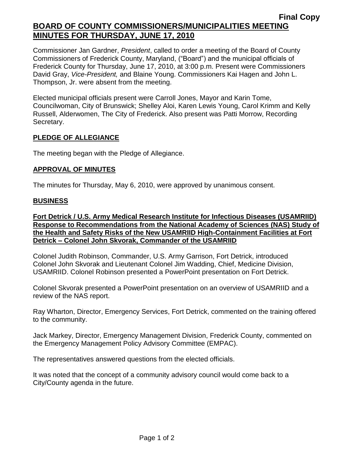## **Final Copy BOARD OF COUNTY COMMISSIONERS/MUNICIPALITIES MEETING MINUTES FOR THURSDAY, JUNE 17, 2010**

Commissioner Jan Gardner, *President*, called to order a meeting of the Board of County Commissioners of Frederick County, Maryland, ("Board") and the municipal officials of Frederick County for Thursday, June 17, 2010, at 3:00 p.m. Present were Commissioners David Gray, *Vice-President,* and Blaine Young. Commissioners Kai Hagen and John L. Thompson, Jr. were absent from the meeting.

Elected municipal officials present were Carroll Jones, Mayor and Karin Tome, Councilwoman, City of Brunswick; Shelley Aloi, Karen Lewis Young, Carol Krimm and Kelly Russell, Alderwomen, The City of Frederick. Also present was Patti Morrow, Recording Secretary.

### **PLEDGE OF ALLEGIANCE**

The meeting began with the Pledge of Allegiance.

#### **APPROVAL OF MINUTES**

The minutes for Thursday, May 6, 2010, were approved by unanimous consent.

#### **BUSINESS**

**Fort Detrick / U.S. Army Medical Research Institute for Infectious Diseases (USAMRIID) Response to Recommendations from the National Academy of Sciences (NAS) Study of the Health and Safety Risks of the New USAMRIID High-Containment Facilities at Fort Detrick – Colonel John Skvorak, Commander of the USAMRIID**

Colonel Judith Robinson, Commander, U.S. Army Garrison, Fort Detrick, introduced Colonel John Skvorak and Lieutenant Colonel Jim Wadding, Chief, Medicine Division, USAMRIID. Colonel Robinson presented a PowerPoint presentation on Fort Detrick.

Colonel Skvorak presented a PowerPoint presentation on an overview of USAMRIID and a review of the NAS report.

Ray Wharton, Director, Emergency Services, Fort Detrick, commented on the training offered to the community.

Jack Markey, Director, Emergency Management Division, Frederick County, commented on the Emergency Management Policy Advisory Committee (EMPAC).

The representatives answered questions from the elected officials.

It was noted that the concept of a community advisory council would come back to a City/County agenda in the future.